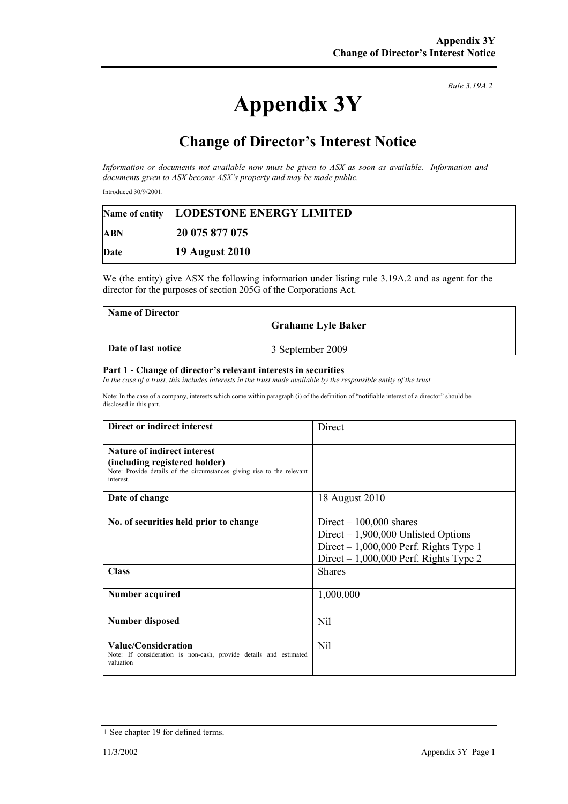## **Appendix 3Y**

*Rule 3.19A.2*

## **Change of Director's Interest Notice**

*Information or documents not available now must be given to ASX as soon as available. Information and documents given to ASX become ASX's property and may be made public.* 

Introduced 30/9/2001.

|            | Name of entity LODESTONE ENERGY LIMITED |
|------------|-----------------------------------------|
| <b>ABN</b> | 20 075 877 075                          |
| Date       | <b>19 August 2010</b>                   |

We (the entity) give ASX the following information under listing rule 3.19A.2 and as agent for the director for the purposes of section 205G of the Corporations Act.

| <b>Name of Director</b> |                           |
|-------------------------|---------------------------|
|                         | <b>Grahame Lyle Baker</b> |
|                         |                           |
| Date of last notice     | 3 September 2009          |

## **Part 1 - Change of director's relevant interests in securities**

In the case of a trust, this includes interests in the trust made available by the responsible entity of the trust

Note: In the case of a company, interests which come within paragraph (i) of the definition of "notifiable interest of a director" should be disclosed in this part.

| Direct or indirect interest                                                                                                                                | Direct                                                                                                                                                                  |
|------------------------------------------------------------------------------------------------------------------------------------------------------------|-------------------------------------------------------------------------------------------------------------------------------------------------------------------------|
| <b>Nature of indirect interest</b><br>(including registered holder)<br>Note: Provide details of the circumstances giving rise to the relevant<br>interest. |                                                                                                                                                                         |
| Date of change                                                                                                                                             | 18 August 2010                                                                                                                                                          |
| No. of securities held prior to change<br><b>Class</b>                                                                                                     | Direct $-100,000$ shares<br>Direct $-1,900,000$ Unlisted Options<br>Direct $-1,000,000$ Perf. Rights Type 1<br>Direct $-1,000,000$ Perf. Rights Type 2<br><b>Shares</b> |
|                                                                                                                                                            |                                                                                                                                                                         |
| Number acquired                                                                                                                                            | 1,000,000                                                                                                                                                               |
| <b>Number disposed</b>                                                                                                                                     | Nil                                                                                                                                                                     |
| Value/Consideration<br>Note: If consideration is non-cash, provide details and estimated<br>valuation                                                      | <b>Nil</b>                                                                                                                                                              |

<sup>+</sup> See chapter 19 for defined terms.